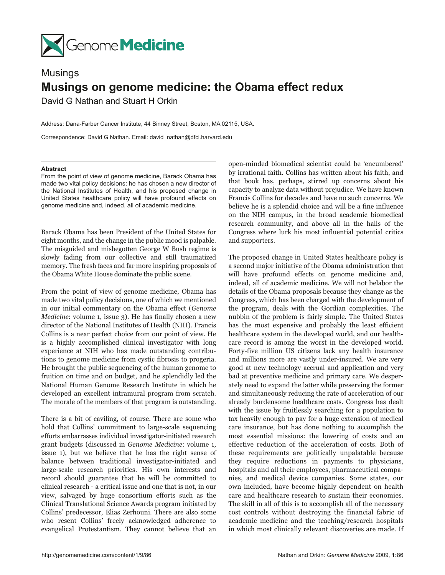

## Musings **Musings on genome medicine: the Obama effect redux** David G Nathan and Stuart H Orkin

Address: Dana-Farber Cancer Institute, 44 Binney Street, Boston, MA 02115, USA.

Correspondence: David G Nathan. Email: david\_nathan@dfci.harvard.edu

## **Abstract**

From the point of view of genome medicine, Barack Obama has made two vital policy decisions: he has chosen a new director of the National Institutes of Health, and his proposed change in United States healthcare policy will have profound effects on genome medicine and, indeed, all of academic medicine.

Barack Obama has been President of the United States for eight months, and the change in the public mood is palpable. The misguided and misbegotten George W Bush regime is slowly fading from our collective and still traumatized memory. The fresh faces and far more inspiring proposals of the Obama White House dominate the public scene.

From the point of view of genome medicine, Obama has made two vital policy decisions, one of which we mentioned in our initial commentary on the Obama effect (*Genome Medicine*: volume 1, issue 3). He has finally chosen a new director of the National Institutes of Health (NIH). Francis Collins is a near perfect choice from our point of view. He is a highly accomplished clinical investigator with long experience at NIH who has made outstanding contributions to genome medicine from cystic fibrosis to progeria. He brought the public sequencing of the human genome to fruition on time and on budget, and he splendidly led the National Human Genome Research Institute in which he developed an excellent intramural program from scratch. The morale of the members of that program is outstanding.

There is a bit of caviling, of course. There are some who hold that Collins' commitment to large-scale sequencing efforts embarrasses individual investigator-initiated research grant budgets (discussed in *Genome Medicine*: volume 1, issue 1), but we believe that he has the right sense of balance between traditional investigator-initiated and large-scale research priorities. His own interests and record should guarantee that he will be committed to clinical research - a critical issue and one that is not, in our view, salvaged by huge consortium efforts such as the Clinical Translational Science Awards program initiated by Collins' predecessor, Elias Zerhouni. There are also some who resent Collins' freely acknowledged adherence to evangelical Protestantism. They cannot believe that an

open-minded biomedical scientist could be 'encumbered' by irrational faith. Collins has written about his faith, and that book has, perhaps, stirred up concerns about his capacity to analyze data without prejudice. We have known Francis Collins for decades and have no such concerns. We believe he is a splendid choice and will be a fine influence on the NIH campus, in the broad academic biomedical research community, and above all in the halls of the Congress where lurk his most influential potential critics and supporters.

The proposed change in United States healthcare policy is a second major initiative of the Obama administration that will have profound effects on genome medicine and, indeed, all of academic medicine. We will not belabor the details of the Obama proposals because they change as the Congress, which has been charged with the development of the program, deals with the Gordian complexities. The nubbin of the problem is fairly simple. The United States has the most expensive and probably the least efficient healthcare system in the developed world, and our healthcare record is among the worst in the developed world. Forty-five million US citizens lack any health insurance and millions more are vastly under-insured. We are very good at new technology accrual and application and very bad at preventive medicine and primary care. We desperately need to expand the latter while preserving the former and simultaneously reducing the rate of acceleration of our already burdensome healthcare costs. Congress has dealt with the issue by fruitlessly searching for a population to tax heavily enough to pay for a huge extension of medical care insurance, but has done nothing to accomplish the most essential missions: the lowering of costs and an effective reduction of the acceleration of costs. Both of these requirements are politically unpalatable because they require reductions in payments to physicians, hospitals and all their employees, pharmaceutical companies, and medical device companies. Some states, our own included, have become highly dependent on health care and healthcare research to sustain their economies. The skill in all of this is to accomplish all of the necessary cost controls without destroying the financial fabric of academic medicine and the teaching/research hospitals in which most clinically relevant discoveries are made. If